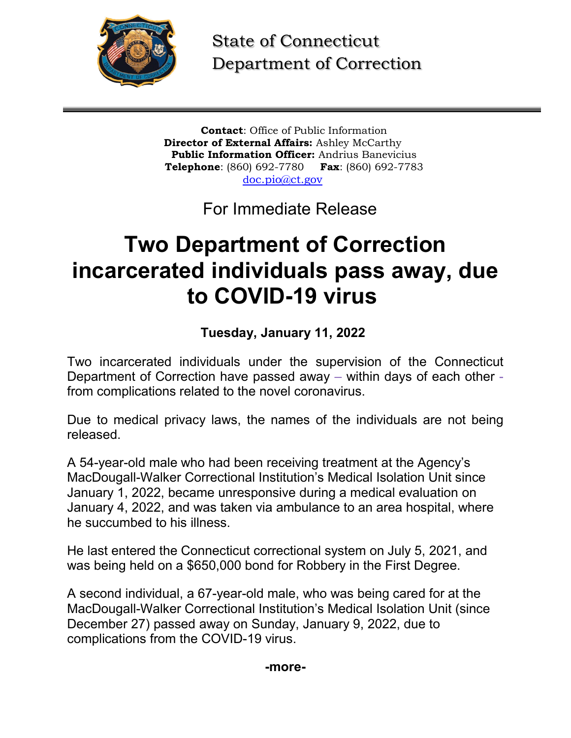

State of Connecticut Department of Correction

**Contact**: Office of Public Information **Director of External Affairs:** Ashley McCarthy **Public Information Officer:** Andrius Banevicius **Telephone**: (860) 692-7780 **Fax**: (860) 692-7783 [doc.pio@ct.gov](mailto:doc.pio@ct.gov)

For Immediate Release

## **Two Department of Correction incarcerated individuals pass away, due to COVID-19 virus**

**Tuesday, January 11, 2022**

Two incarcerated individuals under the supervision of the Connecticut Department of Correction have passed away – within days of each other from complications related to the novel coronavirus.

Due to medical privacy laws, the names of the individuals are not being released.

A 54-year-old male who had been receiving treatment at the Agency's MacDougall-Walker Correctional Institution's Medical Isolation Unit since January 1, 2022, became unresponsive during a medical evaluation on January 4, 2022, and was taken via ambulance to an area hospital, where he succumbed to his illness.

He last entered the Connecticut correctional system on July 5, 2021, and was being held on a \$650,000 bond for Robbery in the First Degree.

A second individual, a 67-year-old male, who was being cared for at the MacDougall-Walker Correctional Institution's Medical Isolation Unit (since December 27) passed away on Sunday, January 9, 2022, due to complications from the COVID-19 virus.